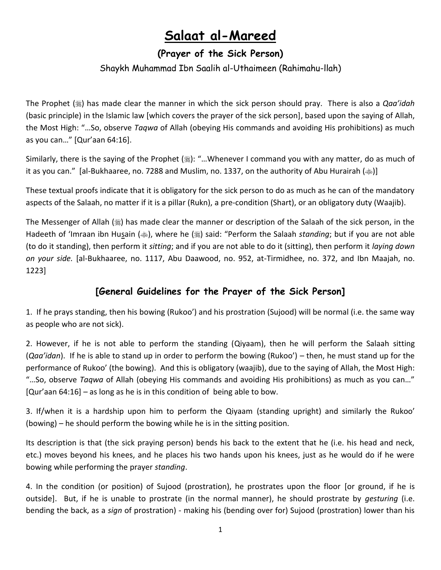# **Salaat al-Mareed**

## **(Prayer of the Sick Person)**

### Shaykh Muhammad Ibn Saalih al-Uthaimeen (Rahimahu-llah)

The Prophet ( $\frac{1}{20}$ ) has made clear the manner in which the sick person should pray. There is also a *Qaa'idah* (basic principle) in the Islamic law [which covers the prayer of the sick person], based upon the saying of Allah, the Most High: "…So, observe *Taqwa* of Allah (obeying His commands and avoiding His prohibitions) as much as you can…" [Qur'aan 64:16].

Similarly, there is the saying of the Prophet (,): "...Whenever I command you with any matter, do as much of it as you can." [al-Bukhaaree, no. 7288 and Muslim, no. 1337, on the authority of Abu Hurairah ( $\gg$ )]

These textual proofs indicate that it is obligatory for the sick person to do as much as he can of the mandatory aspects of the Salaah, no matter if it is a pillar (Rukn), a pre-condition (Shart), or an obligatory duty (Waajib).

The Messenger of Allah  $(*)$  has made clear the manner or description of the Salaah of the sick person, in the Hadeeth of 'Imraan ibn Husain ( $\gg$ ), where he (\) said: "Perform the Salaah *standing*; but if you are not able (to do it standing), then perform it *sitting*; and if you are not able to do it (sitting), then perform it *laying down on your side.* [al-Bukhaaree, no. 1117, Abu Daawood, no. 952, at-Tirmidhee, no. 372, and Ibn Maajah, no. 1223]

## **[General Guidelines for the Prayer of the Sick Person]**

1. If he prays standing, then his bowing (Rukoo') and his prostration (Sujood) will be normal (i.e. the same way as people who are not sick).

2. However, if he is not able to perform the standing (Qiyaam), then he will perform the Salaah sitting (*Qaa'idan*). If he is able to stand up in order to perform the bowing (Rukoo') – then, he must stand up for the performance of Rukoo' (the bowing). And this is obligatory (waajib), due to the saying of Allah, the Most High: "…So, observe *Taqwa* of Allah (obeying His commands and avoiding His prohibitions) as much as you can…" [Qur'aan 64:16] – as long as he is in this condition of being able to bow.

3. If/when it is a hardship upon him to perform the Qiyaam (standing upright) and similarly the Rukoo' (bowing) – he should perform the bowing while he is in the sitting position.

Its description is that (the sick praying person) bends his back to the extent that he (i.e. his head and neck, etc.) moves beyond his knees, and he places his two hands upon his knees, just as he would do if he were bowing while performing the prayer *standing*.

4. In the condition (or position) of Sujood (prostration), he prostrates upon the floor [or ground, if he is outside]. But, if he is unable to prostrate (in the normal manner), he should prostrate by *gesturing* (i.e. bending the back, as a *sign* of prostration) - making his (bending over for) Sujood (prostration) lower than his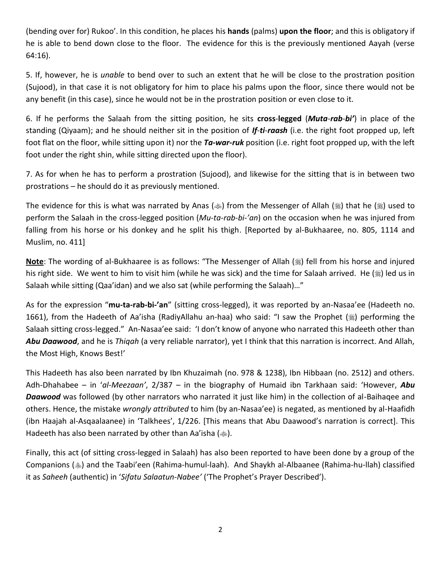(bending over for) Rukoo'. In this condition, he places his **hands** (palms) **upon the floor**; and this is obligatory if he is able to bend down close to the floor. The evidence for this is the previously mentioned Aayah (verse 64:16).

5. If, however, he is *unable* to bend over to such an extent that he will be close to the prostration position (Sujood), in that case it is not obligatory for him to place his palms upon the floor, since there would not be any benefit (in this case), since he would not be in the prostration position or even close to it.

6. If he performs the Salaah from the sitting position, he sits **cross**-**legged** (*Muta*-*rab-bi'*) in place of the standing (Qiyaam); and he should neither sit in the position of *If-ti-raash* (i.e. the right foot propped up, left foot flat on the floor, while sitting upon it) nor the *Ta-war-ruk* position (i.e. right foot propped up, with the left foot under the right shin, while sitting directed upon the floor).

7. As for when he has to perform a prostration (Sujood), and likewise for the sitting that is in between two prostrations – he should do it as previously mentioned.

The evidence for this is what was narrated by Anas ( $\ast$ ) from the Messenger of Allah ( $\ast$ ) that he ( $\ast$ ) used to perform the Salaah in the cross-legged position (*Mu-ta-rab-bi-'an*) on the occasion when he was injured from falling from his horse or his donkey and he split his thigh. [Reported by al-Bukhaaree, no. 805, 1114 and Muslim, no. 411]

Note: The wording of al-Bukhaaree is as follows: "The Messenger of Allah () fell from his horse and injured his right side. We went to him to visit him (while he was sick) and the time for Salaah arrived. He  $(\frac{1}{2})$  led us in Salaah while sitting (Qaa'idan) and we also sat (while performing the Salaah)…"

As for the expression "**mu-ta-rab-bi-'an**" (sitting cross-legged), it was reported by an-Nasaa'ee (Hadeeth no. 1661), from the Hadeeth of Aa'isha (RadiyAllahu an-haa) who said: "I saw the Prophet () performing the Salaah sitting cross-legged." An-Nasaa'ee said: 'I don't know of anyone who narrated this Hadeeth other than *Abu Daawood*, and he is *Thiqah* (a very reliable narrator), yet I think that this narration is incorrect. And Allah, the Most High, Knows Best!'

This Hadeeth has also been narrated by Ibn Khuzaimah (no. 978 & 1238), Ibn Hibbaan (no. 2512) and others. Adh-Dhahabee – in '*al*-*Meezaan'*, 2/387 – in the biography of Humaid ibn Tarkhaan said: 'However, *Abu Daawood* was followed (by other narrators who narrated it just like him) in the collection of al-Baihaqee and others. Hence, the mistake *wrongly attributed* to him (by an-Nasaa'ee) is negated, as mentioned by al-Haafidh (ibn Haajah al-Asqaalaanee) in 'Talkhees', 1/226. [This means that Abu Daawood's narration is correct]. This Hadeeth has also been narrated by other than Aa'isha ( $\gg$ ).

Finally, this act (of sitting cross-legged in Salaah) has also been reported to have been done by a group of the Companions () and the Taabi'een (Rahima-humul-laah). And Shaykh al-Albaanee (Rahima-hu-llah) classified it as *Saheeh* (authentic) in '*Sifatu Salaatun*-*Nabee'* ('The Prophet's Prayer Described').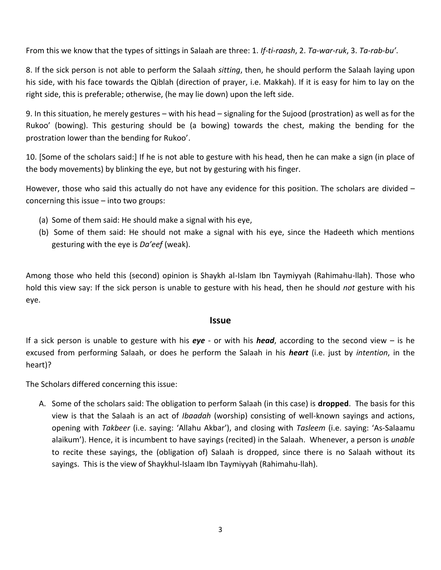From this we know that the types of sittings in Salaah are three: 1. *If-ti-raash*, 2. *Ta-war-ruk*, 3. *Ta-rab-bu'*.

8. If the sick person is not able to perform the Salaah *sitting*, then, he should perform the Salaah laying upon his side, with his face towards the Qiblah (direction of prayer, i.e. Makkah). If it is easy for him to lay on the right side, this is preferable; otherwise, (he may lie down) upon the left side.

9. In this situation, he merely gestures – with his head – signaling for the Sujood (prostration) as well as for the Rukoo' (bowing). This gesturing should be (a bowing) towards the chest, making the bending for the prostration lower than the bending for Rukoo'.

10. [Some of the scholars said:] If he is not able to gesture with his head, then he can make a sign (in place of the body movements) by blinking the eye, but not by gesturing with his finger.

However, those who said this actually do not have any evidence for this position. The scholars are divided – concerning this issue – into two groups:

- (a) Some of them said: He should make a signal with his eye,
- (b) Some of them said: He should not make a signal with his eye, since the Hadeeth which mentions gesturing with the eye is *Da'eef* (weak).

Among those who held this (second) opinion is Shaykh al-Islam Ibn Taymiyyah (Rahimahu-llah). Those who hold this view say: If the sick person is unable to gesture with his head, then he should *not* gesture with his eye.

#### **Issue**

If a sick person is unable to gesture with his *eye* - or with his *head*, according to the second view – is he excused from performing Salaah, or does he perform the Salaah in his *heart* (i.e. just by *intention*, in the heart)?

The Scholars differed concerning this issue:

A. Some of the scholars said: The obligation to perform Salaah (in this case) is **dropped**. The basis for this view is that the Salaah is an act of *Ibaadah* (worship) consisting of well-known sayings and actions, opening with *Takbeer* (i.e. saying: 'Allahu Akbar'), and closing with *Tasleem* (i.e. saying: 'As-Salaamu alaikum'). Hence, it is incumbent to have sayings (recited) in the Salaah. Whenever, a person is *unable* to recite these sayings, the (obligation of) Salaah is dropped, since there is no Salaah without its sayings. This is the view of Shaykhul-Islaam Ibn Taymiyyah (Rahimahu-llah).